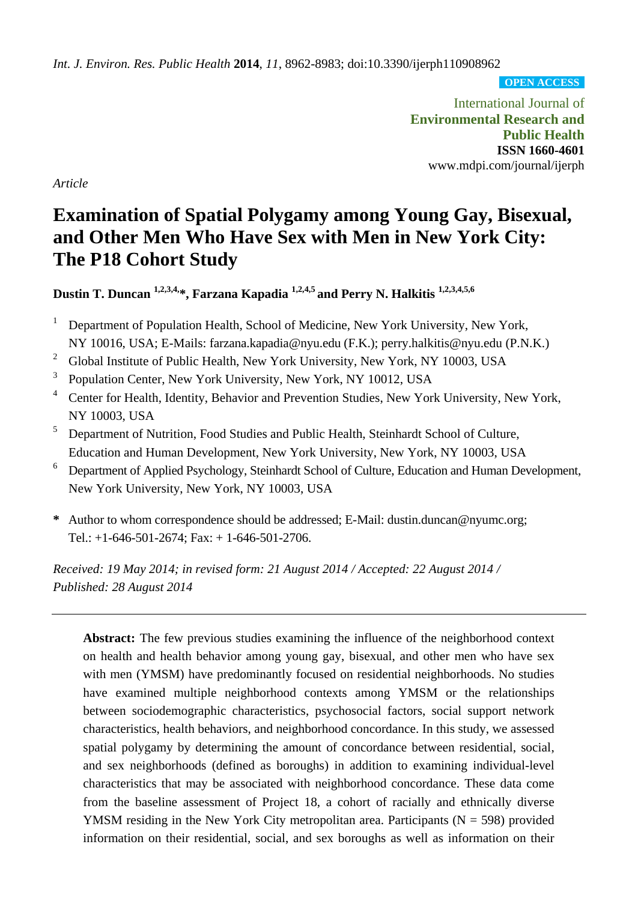*Int. J. Environ. Res. Public Health* **2014**, *11*, 8962-8983; doi:10.3390/ijerph110908962

**OPEN ACCESS**

International Journal of **Environmental Research and Public Health ISSN 1660-4601** www.mdpi.com/journal/ijerph

*Article*

# **Examination of Spatial Polygamy among Young Gay, Bisexual, and Other Men Who Have Sex with Men in New York City: The P18 Cohort Study**

**Dustin T. Duncan 1,2,3,4,\*, Farzana Kapadia 1,2,4,5 and Perry N. Halkitis 1,2,3,4,5,6**

- <sup>1</sup> Department of Population Health, School of Medicine, New York University, New York, NY 10016, USA; E-Mails: farzana.kapadia@nyu.edu (F.K.); perry.halkitis@nyu.edu (P.N.K.)
- <sup>2</sup> Global Institute of Public Health, New York University, New York, NY 10003, USA
- 3 Population Center, New York University, New York, NY 10012, USA
- <sup>4</sup> Center for Health, Identity, Behavior and Prevention Studies, New York University, New York, NY 10003, USA
- <sup>5</sup> Department of Nutrition, Food Studies and Public Health, Steinhardt School of Culture, Education and Human Development, New York University, New York, NY 10003, USA
- <sup>6</sup> Department of Applied Psychology, Steinhardt School of Culture, Education and Human Development, New York University, New York, NY 10003, USA
- **\*** Author to whom correspondence should be addressed; E-Mail: dustin.duncan@nyumc.org; Tel.:  $+1-646-501-2674$ ; Fax:  $+1-646-501-2706$ .

*Received: 19 May 2014; in revised form: 21 August 2014 / Accepted: 22 August 2014 / Published: 28 August 2014*

**Abstract:** The few previous studies examining the influence of the neighborhood context on health and health behavior among young gay, bisexual, and other men who have sex with men (YMSM) have predominantly focused on residential neighborhoods. No studies have examined multiple neighborhood contexts among YMSM or the relationships between sociodemographic characteristics, psychosocial factors, social support network characteristics, health behaviors, and neighborhood concordance. In this study, we assessed spatial polygamy by determining the amount of concordance between residential, social, and sex neighborhoods (defined as boroughs) in addition to examining individual-level characteristics that may be associated with neighborhood concordance. These data come from the baseline assessment of Project 18, a cohort of racially and ethnically diverse YMSM residing in the New York City metropolitan area. Participants ( $N = 598$ ) provided information on their residential, social, and sex boroughs as well as information on their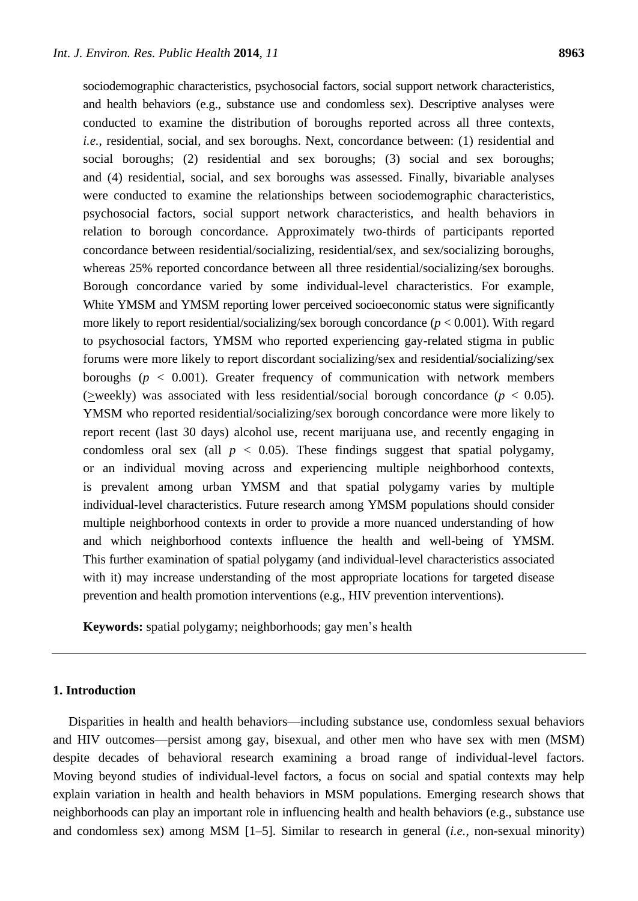sociodemographic characteristics, psychosocial factors, social support network characteristics, and health behaviors (e.g., substance use and condomless sex). Descriptive analyses were conducted to examine the distribution of boroughs reported across all three contexts, *i.e.*, residential, social, and sex boroughs. Next, concordance between: (1) residential and social boroughs; (2) residential and sex boroughs; (3) social and sex boroughs; and (4) residential, social, and sex boroughs was assessed. Finally, bivariable analyses were conducted to examine the relationships between sociodemographic characteristics, psychosocial factors, social support network characteristics, and health behaviors in relation to borough concordance. Approximately two-thirds of participants reported concordance between residential/socializing, residential/sex, and sex/socializing boroughs, whereas 25% reported concordance between all three residential/socializing/sex boroughs. Borough concordance varied by some individual-level characteristics. For example, White YMSM and YMSM reporting lower perceived socioeconomic status were significantly more likely to report residential/socializing/sex borough concordance  $(p < 0.001)$ . With regard to psychosocial factors, YMSM who reported experiencing gay-related stigma in public forums were more likely to report discordant socializing/sex and residential/socializing/sex boroughs ( $p < 0.001$ ). Greater frequency of communication with network members (>weekly) was associated with less residential/social borough concordance ( $p < 0.05$ ). YMSM who reported residential/socializing/sex borough concordance were more likely to report recent (last 30 days) alcohol use, recent marijuana use, and recently engaging in condomless oral sex (all  $p < 0.05$ ). These findings suggest that spatial polygamy, or an individual moving across and experiencing multiple neighborhood contexts, is prevalent among urban YMSM and that spatial polygamy varies by multiple individual-level characteristics. Future research among YMSM populations should consider multiple neighborhood contexts in order to provide a more nuanced understanding of how and which neighborhood contexts influence the health and well-being of YMSM. This further examination of spatial polygamy (and individual-level characteristics associated with it) may increase understanding of the most appropriate locations for targeted disease prevention and health promotion interventions (e.g., HIV prevention interventions).

**Keywords:** spatial polygamy; neighborhoods; gay men's health

## **1. Introduction**

Disparities in health and health behaviors—including substance use, condomless sexual behaviors and HIV outcomes—persist among gay, bisexual, and other men who have sex with men (MSM) despite decades of behavioral research examining a broad range of individual-level factors. Moving beyond studies of individual-level factors, a focus on social and spatial contexts may help explain variation in health and health behaviors in MSM populations. Emerging research shows that neighborhoods can play an important role in influencing health and health behaviors (e.g., substance use and condomless sex) among MSM [1–5]. Similar to research in general (*i.e.*, non-sexual minority)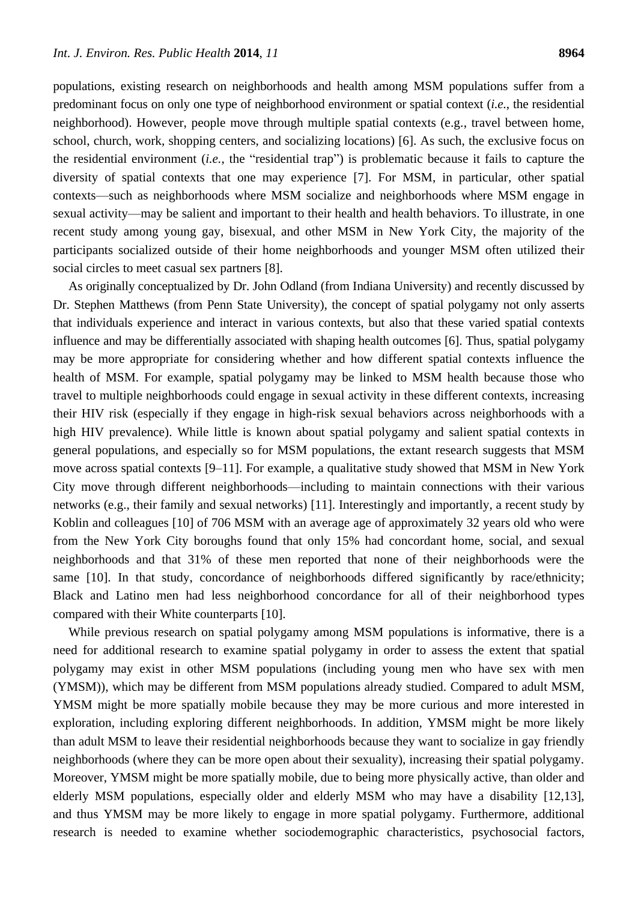populations, existing research on neighborhoods and health among MSM populations suffer from a predominant focus on only one type of neighborhood environment or spatial context (*i.e.*, the residential neighborhood). However, people move through multiple spatial contexts (e.g., travel between home, school, church, work, shopping centers, and socializing locations) [6]. As such, the exclusive focus on the residential environment *(i.e.*, the "residential trap") is problematic because it fails to capture the diversity of spatial contexts that one may experience [7]. For MSM, in particular, other spatial contexts—such as neighborhoods where MSM socialize and neighborhoods where MSM engage in sexual activity—may be salient and important to their health and health behaviors. To illustrate, in one recent study among young gay, bisexual, and other MSM in New York City, the majority of the participants socialized outside of their home neighborhoods and younger MSM often utilized their social circles to meet casual sex partners [8].

As originally conceptualized by Dr. John Odland (from Indiana University) and recently discussed by Dr. Stephen Matthews (from Penn State University), the concept of spatial polygamy not only asserts that individuals experience and interact in various contexts, but also that these varied spatial contexts influence and may be differentially associated with shaping health outcomes [6]. Thus, spatial polygamy may be more appropriate for considering whether and how different spatial contexts influence the health of MSM. For example, spatial polygamy may be linked to MSM health because those who travel to multiple neighborhoods could engage in sexual activity in these different contexts, increasing their HIV risk (especially if they engage in high-risk sexual behaviors across neighborhoods with a high HIV prevalence). While little is known about spatial polygamy and salient spatial contexts in general populations, and especially so for MSM populations, the extant research suggests that MSM move across spatial contexts [9–11]. For example, a qualitative study showed that MSM in New York City move through different neighborhoods—including to maintain connections with their various networks (e.g., their family and sexual networks) [11]. Interestingly and importantly, a recent study by Koblin and colleagues [10] of 706 MSM with an average age of approximately 32 years old who were from the New York City boroughs found that only 15% had concordant home, social, and sexual neighborhoods and that 31% of these men reported that none of their neighborhoods were the same [10]. In that study, concordance of neighborhoods differed significantly by race/ethnicity; Black and Latino men had less neighborhood concordance for all of their neighborhood types compared with their White counterparts [10].

While previous research on spatial polygamy among MSM populations is informative, there is a need for additional research to examine spatial polygamy in order to assess the extent that spatial polygamy may exist in other MSM populations (including young men who have sex with men (YMSM)), which may be different from MSM populations already studied. Compared to adult MSM, YMSM might be more spatially mobile because they may be more curious and more interested in exploration, including exploring different neighborhoods. In addition, YMSM might be more likely than adult MSM to leave their residential neighborhoods because they want to socialize in gay friendly neighborhoods (where they can be more open about their sexuality), increasing their spatial polygamy. Moreover, YMSM might be more spatially mobile, due to being more physically active, than older and elderly MSM populations, especially older and elderly MSM who may have a disability [12,13], and thus YMSM may be more likely to engage in more spatial polygamy. Furthermore, additional research is needed to examine whether sociodemographic characteristics, psychosocial factors,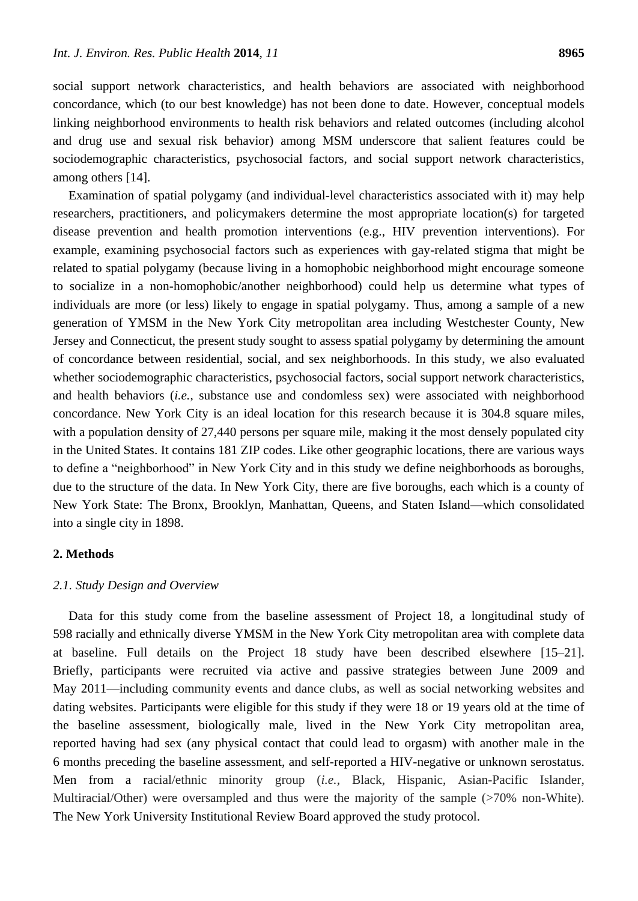social support network characteristics, and health behaviors are associated with neighborhood concordance, which (to our best knowledge) has not been done to date. However, conceptual models linking neighborhood environments to health risk behaviors and related outcomes (including alcohol and drug use and sexual risk behavior) among MSM underscore that salient features could be sociodemographic characteristics, psychosocial factors, and social support network characteristics, among others [14].

Examination of spatial polygamy (and individual-level characteristics associated with it) may help researchers, practitioners, and policymakers determine the most appropriate location(s) for targeted disease prevention and health promotion interventions (e.g., HIV prevention interventions). For example, examining psychosocial factors such as experiences with gay-related stigma that might be related to spatial polygamy (because living in a homophobic neighborhood might encourage someone to socialize in a non-homophobic/another neighborhood) could help us determine what types of individuals are more (or less) likely to engage in spatial polygamy. Thus, among a sample of a new generation of YMSM in the New York City metropolitan area including Westchester County, New Jersey and Connecticut, the present study sought to assess spatial polygamy by determining the amount of concordance between residential, social, and sex neighborhoods. In this study, we also evaluated whether sociodemographic characteristics, psychosocial factors, social support network characteristics, and health behaviors (*i.e.*, substance use and condomless sex) were associated with neighborhood concordance. New York City is an ideal location for this research because it is 304.8 square miles, with a population density of 27,440 persons per square mile, making it the most densely populated city in the United States. It contains 181 ZIP codes. Like other geographic locations, there are various ways to define a "neighborhood" in New York City and in this study we define neighborhoods as boroughs, due to the structure of the data. In New York City, there are five boroughs, each which is a county of New York State: The Bronx, Brooklyn, Manhattan, Queens, and Staten Island—which consolidated into a single city in 1898.

## **2. Methods**

## *2.1. Study Design and Overview*

Data for this study come from the baseline assessment of Project 18, a longitudinal study of 598 racially and ethnically diverse YMSM in the New York City metropolitan area with complete data at baseline. Full details on the Project 18 study have been described elsewhere [15–21]. Briefly, participants were recruited via active and passive strategies between June 2009 and May 2011—including community events and dance clubs, as well as social networking websites and dating websites. Participants were eligible for this study if they were 18 or 19 years old at the time of the baseline assessment, biologically male, lived in the New York City metropolitan area, reported having had sex (any physical contact that could lead to orgasm) with another male in the 6 months preceding the baseline assessment, and self-reported a HIV-negative or unknown serostatus. Men from a racial/ethnic minority group (*i.e.*, Black, Hispanic, Asian-Pacific Islander, Multiracial/Other) were oversampled and thus were the majority of the sample (>70% non-White). The New York University Institutional Review Board approved the study protocol.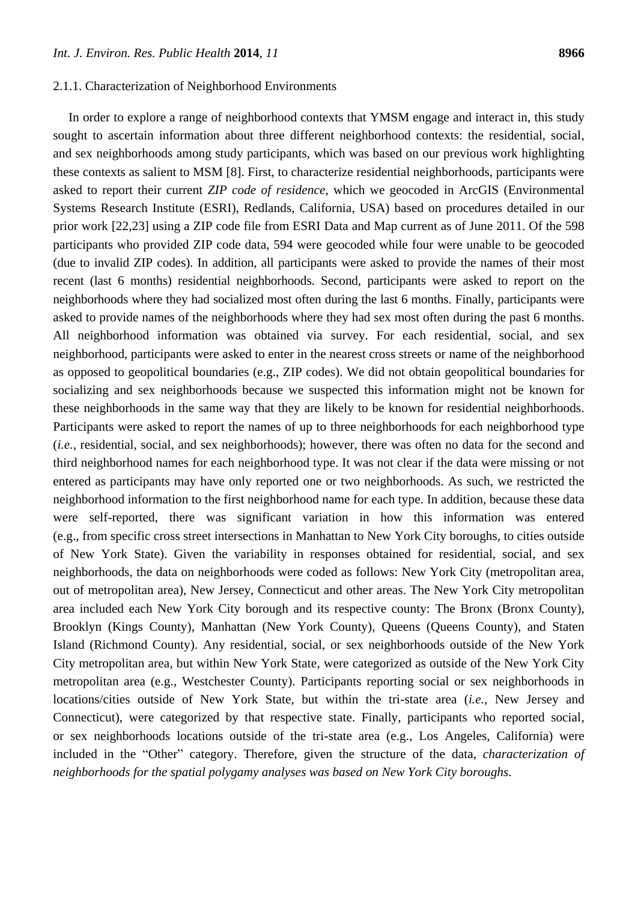#### 2.1.1. Characterization of Neighborhood Environments

In order to explore a range of neighborhood contexts that YMSM engage and interact in, this study sought to ascertain information about three different neighborhood contexts: the residential, social, and sex neighborhoods among study participants, which was based on our previous work highlighting these contexts as salient to MSM [8]. First, to characterize residential neighborhoods, participants were asked to report their current *ZIP code of residence*, which we geocoded in ArcGIS (Environmental Systems Research Institute (ESRI), Redlands, California, USA) based on procedures detailed in our prior work [22,23] using a ZIP code file from ESRI Data and Map current as of June 2011. Of the 598 participants who provided ZIP code data, 594 were geocoded while four were unable to be geocoded (due to invalid ZIP codes). In addition, all participants were asked to provide the names of their most recent (last 6 months) residential neighborhoods. Second, participants were asked to report on the neighborhoods where they had socialized most often during the last 6 months. Finally, participants were asked to provide names of the neighborhoods where they had sex most often during the past 6 months. All neighborhood information was obtained via survey. For each residential, social, and sex neighborhood, participants were asked to enter in the nearest cross streets or name of the neighborhood as opposed to geopolitical boundaries (e.g., ZIP codes). We did not obtain geopolitical boundaries for socializing and sex neighborhoods because we suspected this information might not be known for these neighborhoods in the same way that they are likely to be known for residential neighborhoods. Participants were asked to report the names of up to three neighborhoods for each neighborhood type (*i.e.*, residential, social, and sex neighborhoods); however, there was often no data for the second and third neighborhood names for each neighborhood type. It was not clear if the data were missing or not entered as participants may have only reported one or two neighborhoods. As such, we restricted the neighborhood information to the first neighborhood name for each type. In addition, because these data were self-reported, there was significant variation in how this information was entered (e.g., from specific cross street intersections in Manhattan to New York City boroughs, to cities outside of New York State). Given the variability in responses obtained for residential, social, and sex neighborhoods, the data on neighborhoods were coded as follows: New York City (metropolitan area, out of metropolitan area), New Jersey, Connecticut and other areas. The New York City metropolitan area included each New York City borough and its respective county: The Bronx (Bronx County), Brooklyn (Kings County), Manhattan (New York County), Queens (Queens County), and Staten Island (Richmond County). Any residential, social, or sex neighborhoods outside of the New York City metropolitan area, but within New York State, were categorized as outside of the New York City metropolitan area (e.g., Westchester County). Participants reporting social or sex neighborhoods in locations/cities outside of New York State, but within the tri-state area (*i.e.*, New Jersey and Connecticut), were categorized by that respective state. Finally, participants who reported social, or sex neighborhoods locations outside of the tri-state area (e.g., Los Angeles, California) were included in the "Other" category. Therefore, given the structure of the data, *characterization of neighborhoods for the spatial polygamy analyses was based on New York City boroughs*.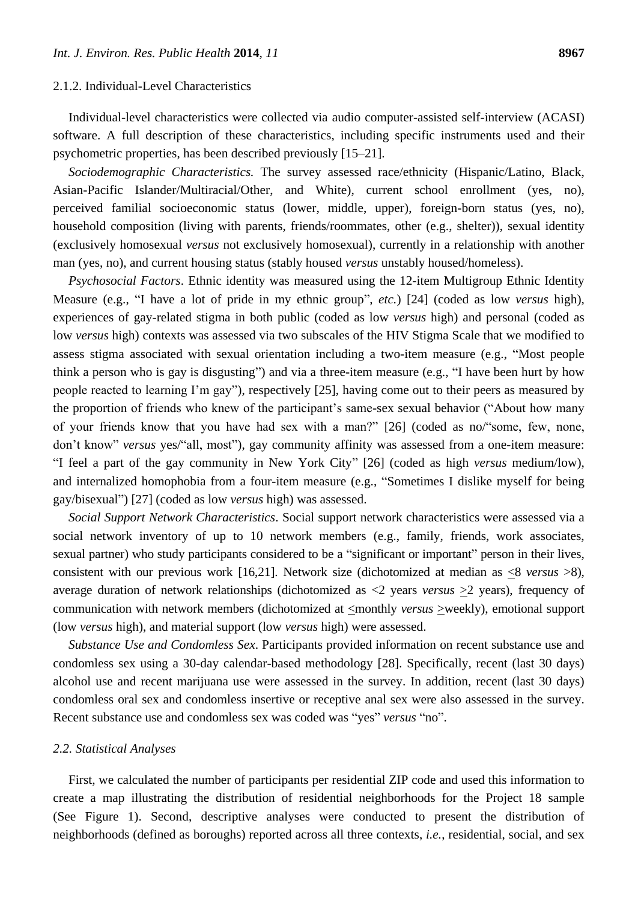## 2.1.2. Individual-Level Characteristics

Individual-level characteristics were collected via audio computer-assisted self-interview (ACASI) software. A full description of these characteristics, including specific instruments used and their psychometric properties, has been described previously [15–21].

*Sociodemographic Characteristics.* The survey assessed race/ethnicity (Hispanic/Latino, Black, Asian-Pacific Islander/Multiracial/Other, and White), current school enrollment (yes, no), perceived familial socioeconomic status (lower, middle, upper), foreign-born status (yes, no), household composition (living with parents, friends/roommates, other (e.g., shelter)), sexual identity (exclusively homosexual *versus* not exclusively homosexual), currently in a relationship with another man (yes, no), and current housing status (stably housed *versus* unstably housed/homeless).

*Psychosocial Factors*. Ethnic identity was measured using the 12-item Multigroup Ethnic Identity Measure (e.g., "I have a lot of pride in my ethnic group", *etc.*) [24] (coded as low *versus* high), experiences of gay-related stigma in both public (coded as low *versus* high) and personal (coded as low *versus* high) contexts was assessed via two subscales of the HIV Stigma Scale that we modified to assess stigma associated with sexual orientation including a two-item measure (e.g., "Most people think a person who is gay is disgusting") and via a three-item measure (e.g., "I have been hurt by how people reacted to learning I'm gay"), respectively [25], having come out to their peers as measured by the proportion of friends who knew of the participant's same-sex sexual behavior ("About how many of your friends know that you have had sex with a man?" [26] (coded as no/"some, few, none, don't know" *versus* yes/"all, most"), gay community affinity was assessed from a one-item measure: ―I feel a part of the gay community in New York City‖ [26] (coded as high *versus* medium/low), and internalized homophobia from a four-item measure (e.g., "Sometimes I dislike myself for being gay/bisexual‖) [27] (coded as low *versus* high) was assessed.

*Social Support Network Characteristics*. Social support network characteristics were assessed via a social network inventory of up to 10 network members (e.g., family, friends, work associates, sexual partner) who study participants considered to be a "significant or important" person in their lives, consistent with our previous work [16,21]. Network size (dichotomized at median as <8 *versus* >8), average duration of network relationships (dichotomized as <2 years *versus* >2 years), frequency of communication with network members (dichotomized at  $\leq$ monthly *versus*  $\geq$ weekly), emotional support (low *versus* high), and material support (low *versus* high) were assessed.

*Substance Use and Condomless Sex*. Participants provided information on recent substance use and condomless sex using a 30-day calendar-based methodology [28]. Specifically, recent (last 30 days) alcohol use and recent marijuana use were assessed in the survey. In addition, recent (last 30 days) condomless oral sex and condomless insertive or receptive anal sex were also assessed in the survey. Recent substance use and condomless sex was coded was "yes" *versus* "no".

## *2.2. Statistical Analyses*

First, we calculated the number of participants per residential ZIP code and used this information to create a map illustrating the distribution of residential neighborhoods for the Project 18 sample (See Figure 1). Second, descriptive analyses were conducted to present the distribution of neighborhoods (defined as boroughs) reported across all three contexts, *i.e.*, residential, social, and sex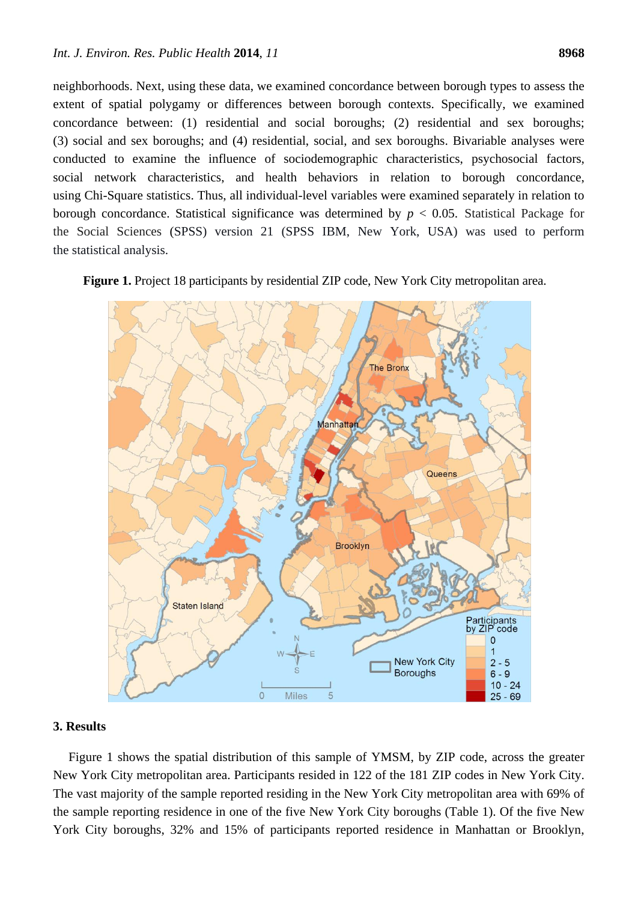neighborhoods. Next, using these data, we examined concordance between borough types to assess the extent of spatial polygamy or differences between borough contexts. Specifically, we examined concordance between: (1) residential and social boroughs; (2) residential and sex boroughs; (3) social and sex boroughs; and (4) residential, social, and sex boroughs. Bivariable analyses were conducted to examine the influence of sociodemographic characteristics, psychosocial factors, social network characteristics, and health behaviors in relation to borough concordance, using Chi-Square statistics. Thus, all individual-level variables were examined separately in relation to borough concordance. Statistical significance was determined by  $p < 0.05$ . Statistical Package for the Social Sciences (SPSS) version 21 (SPSS IBM, New York, USA) was used to perform the statistical analysis.

**Figure 1.** Project 18 participants by residential ZIP code, New York City metropolitan area.



#### **3. Results**

Figure 1 shows the spatial distribution of this sample of YMSM, by ZIP code, across the greater New York City metropolitan area. Participants resided in 122 of the 181 ZIP codes in New York City. The vast majority of the sample reported residing in the New York City metropolitan area with 69% of the sample reporting residence in one of the five New York City boroughs (Table 1). Of the five New York City boroughs, 32% and 15% of participants reported residence in Manhattan or Brooklyn,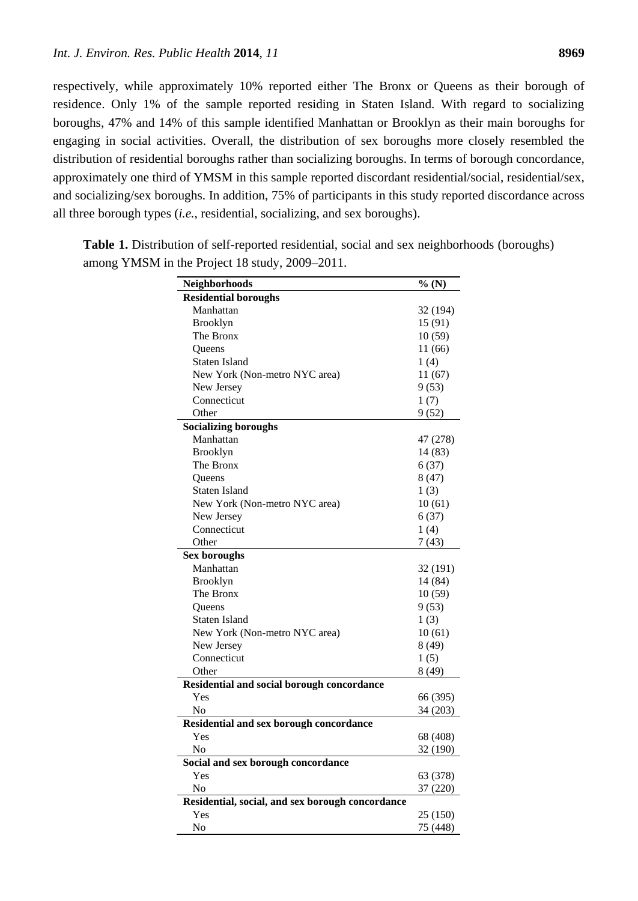respectively, while approximately 10% reported either The Bronx or Queens as their borough of residence. Only 1% of the sample reported residing in Staten Island. With regard to socializing boroughs, 47% and 14% of this sample identified Manhattan or Brooklyn as their main boroughs for engaging in social activities. Overall, the distribution of sex boroughs more closely resembled the distribution of residential boroughs rather than socializing boroughs. In terms of borough concordance, approximately one third of YMSM in this sample reported discordant residential/social, residential/sex, and socializing/sex boroughs. In addition, 75% of participants in this study reported discordance across all three borough types (*i.e.*, residential, socializing, and sex boroughs).

| <b>Neighborhoods</b>                             | %(N)     |
|--------------------------------------------------|----------|
| <b>Residential boroughs</b>                      |          |
| Manhattan                                        | 32 (194) |
| Brooklyn                                         | 15(91)   |
| The Bronx                                        | 10(59)   |
| Queens                                           | 11(66)   |
| <b>Staten Island</b>                             | 1(4)     |
| New York (Non-metro NYC area)                    | 11(67)   |
| New Jersey                                       | 9(53)    |
| Connecticut                                      | 1(7)     |
| Other                                            | 9(52)    |
| <b>Socializing boroughs</b>                      |          |
| Manhattan                                        | 47 (278) |
| Brooklyn                                         | 14 (83)  |
| The Bronx                                        | 6(37)    |
| <b>Oueens</b>                                    | 8(47)    |
| <b>Staten Island</b>                             | 1(3)     |
| New York (Non-metro NYC area)                    | 10(61)   |
| New Jersey                                       | 6(37)    |
| Connecticut                                      | 1(4)     |
| Other                                            | 7(43)    |
| <b>Sex boroughs</b>                              |          |
| Manhattan                                        | 32 (191) |
| Brooklyn                                         | 14 (84)  |
| The Bronx                                        | 10(59)   |
| <b>Oueens</b>                                    | 9(53)    |
| <b>Staten Island</b>                             | 1(3)     |
| New York (Non-metro NYC area)                    | 10(61)   |
| New Jersey                                       | 8 (49)   |
| Connecticut                                      | 1(5)     |
| Other                                            | 8(49)    |
| Residential and social borough concordance       |          |
| Yes                                              | 66 (395) |
| N <sub>0</sub>                                   | 34 (203) |
| <b>Residential and sex borough concordance</b>   |          |
| Yes                                              | 68 (408) |
| No                                               | 32(190)  |
| Social and sex borough concordance               |          |
| Yes                                              | 63 (378) |
| No                                               | 37 (220) |
| Residential, social, and sex borough concordance |          |
| Yes                                              | 25 (150) |
| No                                               | 75 (448) |

**Table 1.** Distribution of self-reported residential, social and sex neighborhoods (boroughs) among YMSM in the Project 18 study, 2009–2011.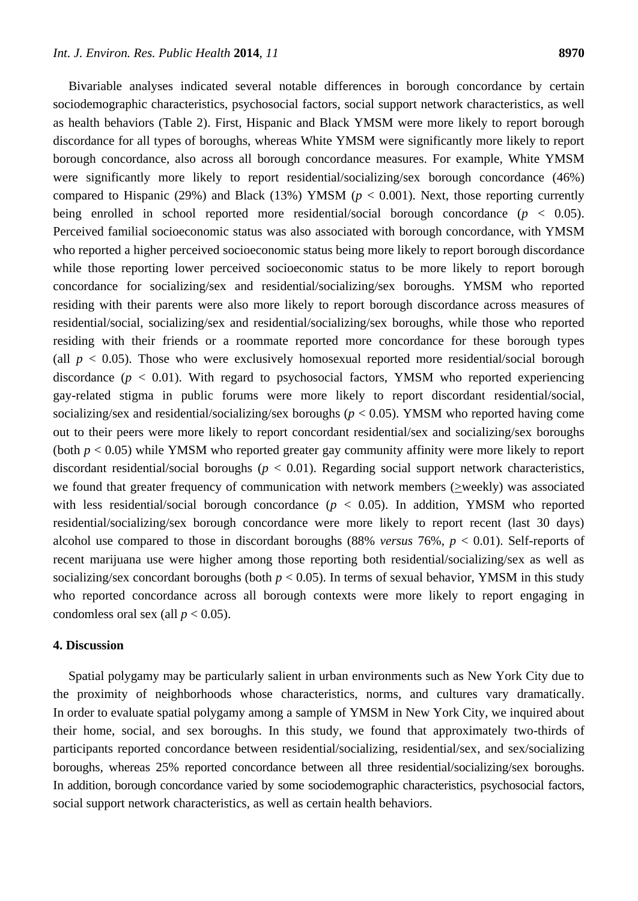Bivariable analyses indicated several notable differences in borough concordance by certain sociodemographic characteristics, psychosocial factors, social support network characteristics, as well as health behaviors (Table 2). First, Hispanic and Black YMSM were more likely to report borough discordance for all types of boroughs, whereas White YMSM were significantly more likely to report borough concordance, also across all borough concordance measures. For example, White YMSM were significantly more likely to report residential/socializing/sex borough concordance (46%) compared to Hispanic (29%) and Black (13%) YMSM ( $p < 0.001$ ). Next, those reporting currently being enrolled in school reported more residential/social borough concordance (*p* < 0.05). Perceived familial socioeconomic status was also associated with borough concordance, with YMSM who reported a higher perceived socioeconomic status being more likely to report borough discordance while those reporting lower perceived socioeconomic status to be more likely to report borough concordance for socializing/sex and residential/socializing/sex boroughs. YMSM who reported residing with their parents were also more likely to report borough discordance across measures of residential/social, socializing/sex and residential/socializing/sex boroughs, while those who reported residing with their friends or a roommate reported more concordance for these borough types (all  $p < 0.05$ ). Those who were exclusively homosexual reported more residential/social borough discordance ( $p < 0.01$ ). With regard to psychosocial factors, YMSM who reported experiencing gay-related stigma in public forums were more likely to report discordant residential/social, socializing/sex and residential/socializing/sex boroughs (*p* < 0.05). YMSM who reported having come out to their peers were more likely to report concordant residential/sex and socializing/sex boroughs (both  $p < 0.05$ ) while YMSM who reported greater gay community affinity were more likely to report discordant residential/social boroughs (*p* < 0.01). Regarding social support network characteristics, we found that greater frequency of communication with network members (>weekly) was associated with less residential/social borough concordance  $(p < 0.05)$ . In addition, YMSM who reported residential/socializing/sex borough concordance were more likely to report recent (last 30 days) alcohol use compared to those in discordant boroughs (88% *versus* 76%, *p* < 0.01). Self-reports of recent marijuana use were higher among those reporting both residential/socializing/sex as well as socializing/sex concordant boroughs (both  $p < 0.05$ ). In terms of sexual behavior, YMSM in this study who reported concordance across all borough contexts were more likely to report engaging in condomless oral sex (all  $p < 0.05$ ).

## **4. Discussion**

Spatial polygamy may be particularly salient in urban environments such as New York City due to the proximity of neighborhoods whose characteristics, norms, and cultures vary dramatically. In order to evaluate spatial polygamy among a sample of YMSM in New York City, we inquired about their home, social, and sex boroughs. In this study, we found that approximately two-thirds of participants reported concordance between residential/socializing, residential/sex, and sex/socializing boroughs, whereas 25% reported concordance between all three residential/socializing/sex boroughs. In addition, borough concordance varied by some sociodemographic characteristics, psychosocial factors, social support network characteristics, as well as certain health behaviors.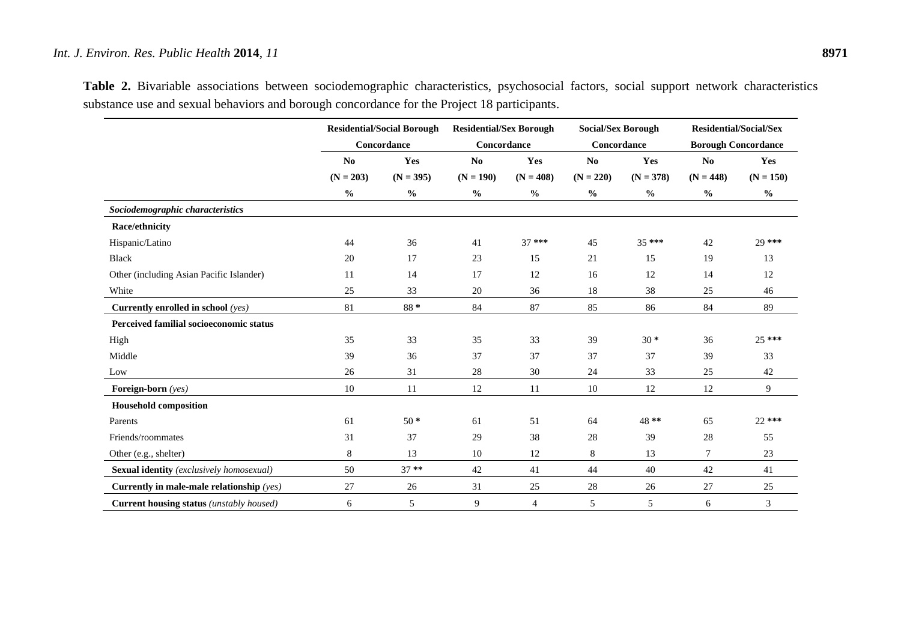|                                             | <b>Residential/Social Borough</b><br>Concordance |               | <b>Residential/Sex Borough</b><br>Concordance |                | <b>Social/Sex Borough</b><br>Concordance |               | <b>Residential/Social/Sex</b><br><b>Borough Concordance</b> |                |
|---------------------------------------------|--------------------------------------------------|---------------|-----------------------------------------------|----------------|------------------------------------------|---------------|-------------------------------------------------------------|----------------|
|                                             |                                                  |               |                                               |                |                                          |               |                                                             |                |
|                                             | N <sub>0</sub>                                   | Yes           | N <sub>0</sub>                                | Yes            | N <sub>0</sub>                           | Yes           | N <sub>0</sub>                                              | Yes            |
|                                             | $(N = 203)$                                      | $(N = 395)$   | $(N = 190)$                                   | $(N = 408)$    | $(N = 220)$                              | $(N = 378)$   | $(N = 448)$                                                 | $(N = 150)$    |
|                                             | $\frac{0}{0}$                                    | $\frac{0}{0}$ | $\frac{0}{0}$                                 | $\frac{0}{0}$  | $\frac{0}{0}$                            | $\frac{0}{0}$ | $\frac{0}{0}$                                               | $\frac{6}{6}$  |
| Sociodemographic characteristics            |                                                  |               |                                               |                |                                          |               |                                                             |                |
| Race/ethnicity                              |                                                  |               |                                               |                |                                          |               |                                                             |                |
| Hispanic/Latino                             | 44                                               | 36            | 41                                            | $37***$        | 45                                       | 35 ***        | 42                                                          | 29 ***         |
| Black                                       | 20                                               | 17            | 23                                            | 15             | 21                                       | 15            | 19                                                          | 13             |
| Other (including Asian Pacific Islander)    | 11                                               | 14            | 17                                            | 12             | 16                                       | 12            | 14                                                          | 12             |
| White                                       | 25                                               | 33            | 20                                            | 36             | 18                                       | 38            | 25                                                          | 46             |
| Currently enrolled in school (yes)          | 81                                               | 88*           | 84                                            | 87             | 85                                       | 86            | 84                                                          | 89             |
| Perceived familial socioeconomic status     |                                                  |               |                                               |                |                                          |               |                                                             |                |
| High                                        | 35                                               | 33            | 35                                            | 33             | 39                                       | $30 *$        | 36                                                          | $25***$        |
| Middle                                      | 39                                               | 36            | 37                                            | 37             | 37                                       | 37            | 39                                                          | 33             |
| Low                                         | 26                                               | 31            | 28                                            | 30             | 24                                       | 33            | 25                                                          | 42             |
| Foreign-born (yes)                          | $10\,$                                           | 11            | 12                                            | 11             | 10                                       | 12            | 12                                                          | $\overline{9}$ |
| <b>Household composition</b>                |                                                  |               |                                               |                |                                          |               |                                                             |                |
| Parents                                     | 61                                               | $50*$         | 61                                            | 51             | 64                                       | 48**          | 65                                                          | $22***$        |
| Friends/roommates                           | 31                                               | 37            | 29                                            | 38             | 28                                       | 39            | 28                                                          | 55             |
| Other (e.g., shelter)                       | 8                                                | 13            | 10                                            | 12             | 8                                        | 13            | $\tau$                                                      | 23             |
| Sexual identity (exclusively homosexual)    | 50                                               | $37**$        | 42                                            | 41             | 44                                       | 40            | 42                                                          | 41             |
| Currently in male-male relationship $(yes)$ | 27                                               | 26            | 31                                            | 25             | 28                                       | 26            | 27                                                          | 25             |
| Current housing status (unstably housed)    | 6                                                | 5             | 9                                             | $\overline{4}$ | 5                                        | 5             | 6                                                           | 3              |

**Table 2.** Bivariable associations between sociodemographic characteristics, psychosocial factors, social support network characteristics substance use and sexual behaviors and borough concordance for the Project 18 participants.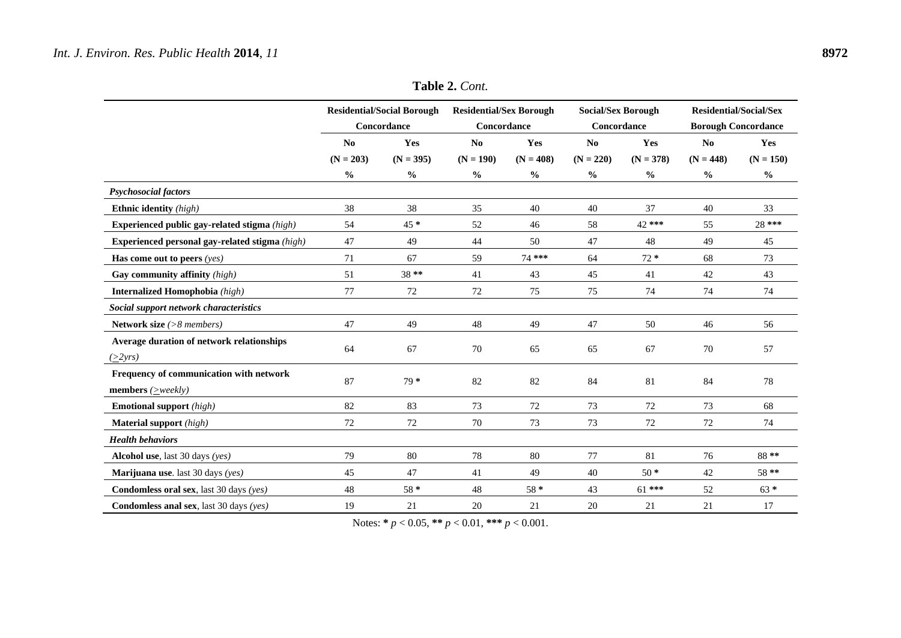|                                                                                    | <b>Residential/Social Borough</b><br>Concordance |               | <b>Residential/Sex Borough</b><br>Concordance |               | <b>Social/Sex Borough</b><br>Concordance |               | <b>Residential/Social/Sex</b><br><b>Borough Concordance</b> |               |
|------------------------------------------------------------------------------------|--------------------------------------------------|---------------|-----------------------------------------------|---------------|------------------------------------------|---------------|-------------------------------------------------------------|---------------|
|                                                                                    | N <sub>0</sub>                                   | Yes           | N <sub>0</sub>                                | Yes           | No                                       | Yes           | N <sub>0</sub>                                              | Yes           |
|                                                                                    | $(N = 203)$                                      | $(N = 395)$   | $(N = 190)$                                   | $(N = 408)$   | $(N = 220)$                              | $(N = 378)$   | $(N = 448)$                                                 | $(N = 150)$   |
|                                                                                    | $\frac{0}{0}$                                    | $\frac{0}{0}$ | $\frac{6}{6}$                                 | $\frac{0}{0}$ | $\frac{0}{0}$                            | $\frac{0}{0}$ | $\frac{0}{0}$                                               | $\frac{0}{0}$ |
| <b>Psychosocial factors</b>                                                        |                                                  |               |                                               |               |                                          |               |                                                             |               |
| <b>Ethnic identity</b> (high)                                                      | 38                                               | 38            | 35                                            | 40            | 40                                       | 37            | 40                                                          | 33            |
| Experienced public gay-related stigma (high)                                       | 54                                               | 45 *          | 52                                            | 46            | 58                                       | 42 ***        | 55                                                          | 28 ***        |
| Experienced personal gay-related stigma (high)                                     | 47                                               | 49            | 44                                            | 50            | 47                                       | 48            | 49                                                          | 45            |
| Has come out to peers $(yes)$                                                      | 71                                               | 67            | 59                                            | 74 ***        | 64                                       | $72 *$        | 68                                                          | 73            |
| Gay community affinity (high)                                                      | 51                                               | 38**          | 41                                            | 43            | 45                                       | 41            | 42                                                          | 43            |
| Internalized Homophobia (high)                                                     | 77                                               | 72            | 72                                            | 75            | 75                                       | 74            | 74                                                          | 74            |
| Social support network characteristics                                             |                                                  |               |                                               |               |                                          |               |                                                             |               |
| Network size (>8 members)                                                          | 47                                               | 49            | 48                                            | 49            | 47                                       | 50            | 46                                                          | 56            |
| Average duration of network relationships<br>$(\geq 2yrs)$                         | 64                                               | 67            | 70                                            | 65            | 65                                       | 67            | 70                                                          | 57            |
| Frequency of communication with network<br><b>members</b> ( $\geq$ <i>weekly</i> ) | 87                                               | $79*$         | 82                                            | 82            | 84                                       | 81            | 84                                                          | 78            |
| <b>Emotional support</b> (high)                                                    | 82                                               | 83            | 73                                            | 72            | 73                                       | 72            | 73                                                          | 68            |
| <b>Material support</b> (high)                                                     | 72                                               | 72            | 70                                            | 73            | 73                                       | 72            | 72                                                          | 74            |
| <b>Health behaviors</b>                                                            |                                                  |               |                                               |               |                                          |               |                                                             |               |
| Alcohol use, last 30 days (yes)                                                    | 79                                               | 80            | 78                                            | 80            | 77                                       | 81            | 76                                                          | 88**          |
| <b>Marijuana use</b> . last 30 days (yes)                                          | 45                                               | 47            | 41                                            | 49            | 40                                       | $50*$         | 42                                                          | 58**          |
| Condomless oral sex, last 30 days (yes)                                            | 48                                               | $58*$         | 48                                            | $58*$         | 43                                       | $61***$       | 52                                                          | $63 *$        |
| <b>Condomless anal sex</b> , last 30 days (yes)                                    | 19                                               | 21            | 20                                            | 21            | 20                                       | 21            | 21                                                          | 17            |

Notes: **\*** *p* < 0.05, **\*\*** *p* < 0.01, **\*\*\*** *p* < 0.001.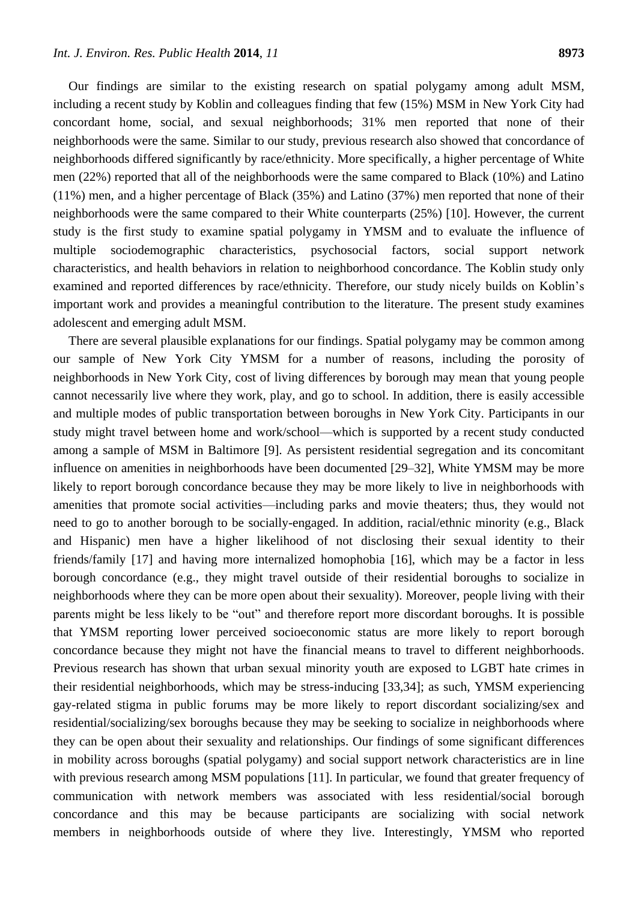Our findings are similar to the existing research on spatial polygamy among adult MSM, including a recent study by Koblin and colleagues finding that few (15%) MSM in New York City had concordant home, social, and sexual neighborhoods; 31% men reported that none of their neighborhoods were the same. Similar to our study, previous research also showed that concordance of neighborhoods differed significantly by race/ethnicity. More specifically, a higher percentage of White men (22%) reported that all of the neighborhoods were the same compared to Black (10%) and Latino (11%) men, and a higher percentage of Black (35%) and Latino (37%) men reported that none of their neighborhoods were the same compared to their White counterparts (25%) [10]. However, the current study is the first study to examine spatial polygamy in YMSM and to evaluate the influence of multiple sociodemographic characteristics, psychosocial factors, social support network characteristics, and health behaviors in relation to neighborhood concordance. The Koblin study only examined and reported differences by race/ethnicity. Therefore, our study nicely builds on Koblin's important work and provides a meaningful contribution to the literature. The present study examines adolescent and emerging adult MSM.

There are several plausible explanations for our findings. Spatial polygamy may be common among our sample of New York City YMSM for a number of reasons, including the porosity of neighborhoods in New York City, cost of living differences by borough may mean that young people cannot necessarily live where they work, play, and go to school. In addition, there is easily accessible and multiple modes of public transportation between boroughs in New York City. Participants in our study might travel between home and work/school—which is supported by a recent study conducted among a sample of MSM in Baltimore [9]. As persistent residential segregation and its concomitant influence on amenities in neighborhoods have been documented [29–32], White YMSM may be more likely to report borough concordance because they may be more likely to live in neighborhoods with amenities that promote social activities—including parks and movie theaters; thus, they would not need to go to another borough to be socially-engaged. In addition, racial/ethnic minority (e.g., Black and Hispanic) men have a higher likelihood of not disclosing their sexual identity to their friends/family [17] and having more internalized homophobia [16], which may be a factor in less borough concordance (e.g., they might travel outside of their residential boroughs to socialize in neighborhoods where they can be more open about their sexuality). Moreover, people living with their parents might be less likely to be "out" and therefore report more discordant boroughs. It is possible that YMSM reporting lower perceived socioeconomic status are more likely to report borough concordance because they might not have the financial means to travel to different neighborhoods. Previous research has shown that urban sexual minority youth are exposed to LGBT hate crimes in their residential neighborhoods, which may be stress-inducing [33,34]; as such, YMSM experiencing gay-related stigma in public forums may be more likely to report discordant socializing/sex and residential/socializing/sex boroughs because they may be seeking to socialize in neighborhoods where they can be open about their sexuality and relationships. Our findings of some significant differences in mobility across boroughs (spatial polygamy) and social support network characteristics are in line with previous research among MSM populations [11]. In particular, we found that greater frequency of communication with network members was associated with less residential/social borough concordance and this may be because participants are socializing with social network members in neighborhoods outside of where they live. Interestingly, YMSM who reported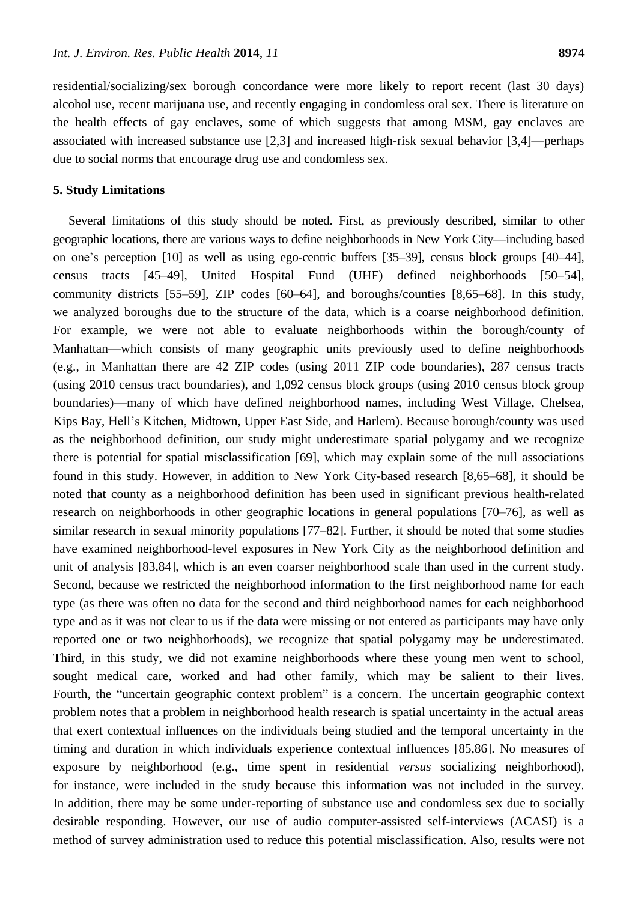residential/socializing/sex borough concordance were more likely to report recent (last 30 days) alcohol use, recent marijuana use, and recently engaging in condomless oral sex. There is literature on the health effects of gay enclaves, some of which suggests that among MSM, gay enclaves are associated with increased substance use [2,3] and increased high-risk sexual behavior [3,4]—perhaps due to social norms that encourage drug use and condomless sex.

#### **5. Study Limitations**

Several limitations of this study should be noted. First, as previously described, similar to other geographic locations, there are various ways to define neighborhoods in New York City—including based on one's perception [10] as well as using ego-centric buffers [35–39], census block groups [40–44], census tracts [45–49], United Hospital Fund (UHF) defined neighborhoods [50–54], community districts [55–59], ZIP codes [60–64], and boroughs/counties [8,65–68]. In this study, we analyzed boroughs due to the structure of the data, which is a coarse neighborhood definition. For example, we were not able to evaluate neighborhoods within the borough/county of Manhattan—which consists of many geographic units previously used to define neighborhoods (e.g., in Manhattan there are 42 ZIP codes (using 2011 ZIP code boundaries), 287 census tracts (using 2010 census tract boundaries), and 1,092 census block groups (using 2010 census block group boundaries)—many of which have defined neighborhood names, including West Village, Chelsea, Kips Bay, Hell's Kitchen, Midtown, Upper East Side, and Harlem). Because borough/county was used as the neighborhood definition, our study might underestimate spatial polygamy and we recognize there is potential for spatial misclassification [69], which may explain some of the null associations found in this study. However, in addition to New York City-based research [8,65–68], it should be noted that county as a neighborhood definition has been used in significant previous health-related research on neighborhoods in other geographic locations in general populations [70–76], as well as similar research in sexual minority populations [77–82]. Further, it should be noted that some studies have examined neighborhood-level exposures in New York City as the neighborhood definition and unit of analysis [83,84], which is an even coarser neighborhood scale than used in the current study. Second, because we restricted the neighborhood information to the first neighborhood name for each type (as there was often no data for the second and third neighborhood names for each neighborhood type and as it was not clear to us if the data were missing or not entered as participants may have only reported one or two neighborhoods), we recognize that spatial polygamy may be underestimated. Third, in this study, we did not examine neighborhoods where these young men went to school, sought medical care, worked and had other family, which may be salient to their lives. Fourth, the "uncertain geographic context problem" is a concern. The uncertain geographic context problem notes that a problem in neighborhood health research is spatial uncertainty in the actual areas that exert contextual influences on the individuals being studied and the temporal uncertainty in the timing and duration in which individuals experience contextual influences [85,86]. No measures of exposure by neighborhood (e.g., time spent in residential *versus* socializing neighborhood), for instance, were included in the study because this information was not included in the survey. In addition, there may be some under-reporting of substance use and condomless sex due to socially desirable responding. However, our use of audio computer-assisted self-interviews (ACASI) is a method of survey administration used to reduce this potential misclassification. Also, results were not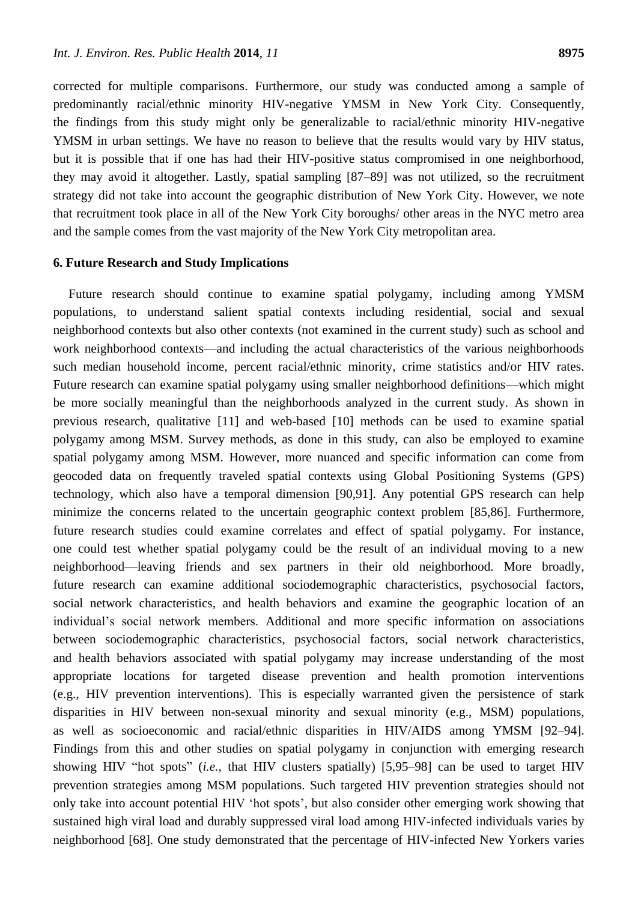corrected for multiple comparisons. Furthermore, our study was conducted among a sample of predominantly racial/ethnic minority HIV-negative YMSM in New York City. Consequently, the findings from this study might only be generalizable to racial/ethnic minority HIV-negative YMSM in urban settings. We have no reason to believe that the results would vary by HIV status, but it is possible that if one has had their HIV-positive status compromised in one neighborhood, they may avoid it altogether. Lastly, spatial sampling [87–89] was not utilized, so the recruitment strategy did not take into account the geographic distribution of New York City. However, we note that recruitment took place in all of the New York City boroughs/ other areas in the NYC metro area and the sample comes from the vast majority of the New York City metropolitan area.

# **6. Future Research and Study Implications**

Future research should continue to examine spatial polygamy, including among YMSM populations, to understand salient spatial contexts including residential, social and sexual neighborhood contexts but also other contexts (not examined in the current study) such as school and work neighborhood contexts—and including the actual characteristics of the various neighborhoods such median household income, percent racial/ethnic minority, crime statistics and/or HIV rates. Future research can examine spatial polygamy using smaller neighborhood definitions—which might be more socially meaningful than the neighborhoods analyzed in the current study. As shown in previous research, qualitative [11] and web-based [10] methods can be used to examine spatial polygamy among MSM. Survey methods, as done in this study, can also be employed to examine spatial polygamy among MSM. However, more nuanced and specific information can come from geocoded data on frequently traveled spatial contexts using Global Positioning Systems (GPS) technology, which also have a temporal dimension [90,91]. Any potential GPS research can help minimize the concerns related to the uncertain geographic context problem [85,86]. Furthermore, future research studies could examine correlates and effect of spatial polygamy. For instance, one could test whether spatial polygamy could be the result of an individual moving to a new neighborhood—leaving friends and sex partners in their old neighborhood. More broadly, future research can examine additional sociodemographic characteristics, psychosocial factors, social network characteristics, and health behaviors and examine the geographic location of an individual's social network members. Additional and more specific information on associations between sociodemographic characteristics, psychosocial factors, social network characteristics, and health behaviors associated with spatial polygamy may increase understanding of the most appropriate locations for targeted disease prevention and health promotion interventions (e.g., HIV prevention interventions). This is especially warranted given the persistence of stark disparities in HIV between non-sexual minority and sexual minority (e.g., MSM) populations, as well as socioeconomic and racial/ethnic disparities in HIV/AIDS among YMSM [92–94]. Findings from this and other studies on spatial polygamy in conjunction with emerging research showing HIV "hot spots" *(i.e.*, that HIV clusters spatially) [5,95–98] can be used to target HIV prevention strategies among MSM populations. Such targeted HIV prevention strategies should not only take into account potential HIV ‗hot spots', but also consider other emerging work showing that sustained high viral load and durably suppressed viral load among HIV-infected individuals varies by neighborhood [68]. One study demonstrated that the percentage of HIV-infected New Yorkers varies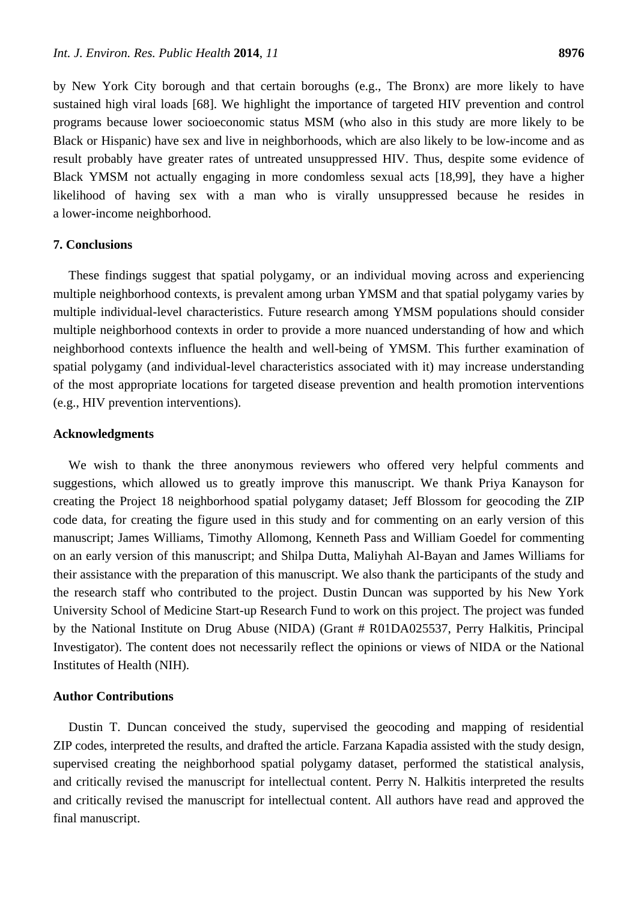by New York City borough and that certain boroughs (e.g., The Bronx) are more likely to have sustained high viral loads [68]. We highlight the importance of targeted HIV prevention and control programs because lower socioeconomic status MSM (who also in this study are more likely to be Black or Hispanic) have sex and live in neighborhoods, which are also likely to be low-income and as result probably have greater rates of untreated unsuppressed HIV. Thus, despite some evidence of Black YMSM not actually engaging in more condomless sexual acts [18,99], they have a higher likelihood of having sex with a man who is virally unsuppressed because he resides in a lower-income neighborhood.

# **7. Conclusions**

These findings suggest that spatial polygamy, or an individual moving across and experiencing multiple neighborhood contexts, is prevalent among urban YMSM and that spatial polygamy varies by multiple individual-level characteristics. Future research among YMSM populations should consider multiple neighborhood contexts in order to provide a more nuanced understanding of how and which neighborhood contexts influence the health and well-being of YMSM. This further examination of spatial polygamy (and individual-level characteristics associated with it) may increase understanding of the most appropriate locations for targeted disease prevention and health promotion interventions (e.g., HIV prevention interventions).

## **Acknowledgments**

We wish to thank the three anonymous reviewers who offered very helpful comments and suggestions, which allowed us to greatly improve this manuscript. We thank Priya Kanayson for creating the Project 18 neighborhood spatial polygamy dataset; Jeff Blossom for geocoding the ZIP code data, for creating the figure used in this study and for commenting on an early version of this manuscript; James Williams, Timothy Allomong, Kenneth Pass and William Goedel for commenting on an early version of this manuscript; and Shilpa Dutta, Maliyhah Al-Bayan and James Williams for their assistance with the preparation of this manuscript. We also thank the participants of the study and the research staff who contributed to the project. Dustin Duncan was supported by his New York University School of Medicine Start-up Research Fund to work on this project. The project was funded by the National Institute on Drug Abuse (NIDA) (Grant # R01DA025537, Perry Halkitis, Principal Investigator). The content does not necessarily reflect the opinions or views of NIDA or the National Institutes of Health (NIH).

## **Author Contributions**

Dustin T. Duncan conceived the study, supervised the geocoding and mapping of residential ZIP codes, interpreted the results, and drafted the article. Farzana Kapadia assisted with the study design, supervised creating the neighborhood spatial polygamy dataset, performed the statistical analysis, and critically revised the manuscript for intellectual content. Perry N. Halkitis interpreted the results and critically revised the manuscript for intellectual content. All authors have read and approved the final manuscript.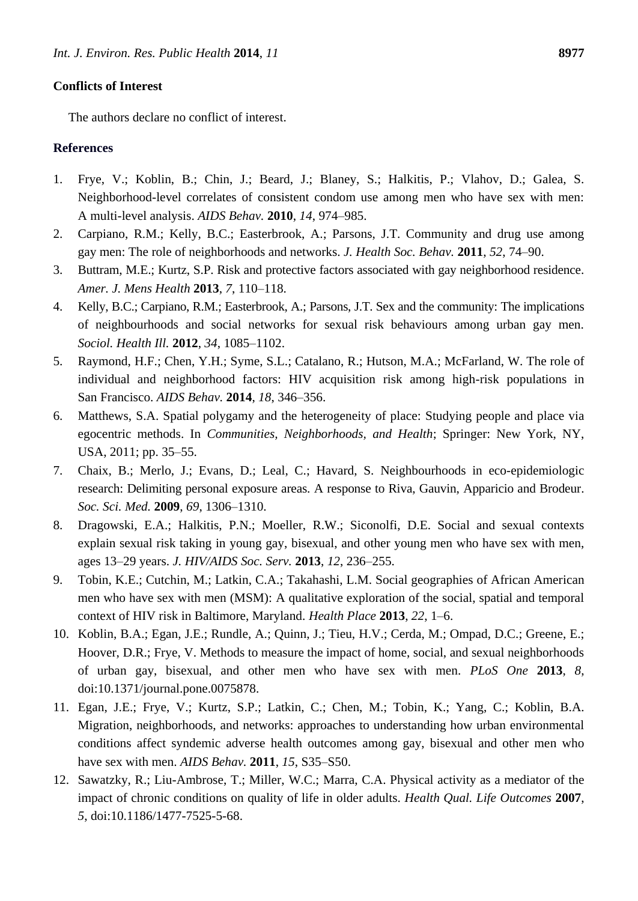The authors declare no conflict of interest.

# **References**

- 1. Frye, V.; Koblin, B.; Chin, J.; Beard, J.; Blaney, S.; Halkitis, P.; Vlahov, D.; Galea, S. Neighborhood-level correlates of consistent condom use among men who have sex with men: A multi-level analysis. *AIDS Behav.* **2010**, *14*, 974–985.
- 2. Carpiano, R.M.; Kelly, B.C.; Easterbrook, A.; Parsons, J.T. Community and drug use among gay men: The role of neighborhoods and networks. *J. Health Soc. Behav.* **2011**, *52*, 74–90.
- 3. Buttram, M.E.; Kurtz, S.P. Risk and protective factors associated with gay neighborhood residence. *Amer. J. Mens Health* **2013**, *7*, 110–118.
- 4. Kelly, B.C.; Carpiano, R.M.; Easterbrook, A.; Parsons, J.T. Sex and the community: The implications of neighbourhoods and social networks for sexual risk behaviours among urban gay men. *Sociol. Health Ill.* **2012**, *34*, 1085–1102.
- 5. Raymond, H.F.; Chen, Y.H.; Syme, S.L.; Catalano, R.; Hutson, M.A.; McFarland, W. The role of individual and neighborhood factors: HIV acquisition risk among high-risk populations in San Francisco. *AIDS Behav.* **2014**, *18*, 346–356.
- 6. Matthews, S.A. Spatial polygamy and the heterogeneity of place: Studying people and place via egocentric methods. In *Communities, Neighborhoods, and Health*; Springer: New York, NY, USA, 2011; pp. 35–55.
- 7. Chaix, B.; Merlo, J.; Evans, D.; Leal, C.; Havard, S. Neighbourhoods in eco-epidemiologic research: Delimiting personal exposure areas. A response to Riva, Gauvin, Apparicio and Brodeur. *Soc. Sci. Med.* **2009**, *69*, 1306–1310.
- 8. Dragowski, E.A.; Halkitis, P.N.; Moeller, R.W.; Siconolfi, D.E. Social and sexual contexts explain sexual risk taking in young gay, bisexual, and other young men who have sex with men, ages 13–29 years. *J. HIV/AIDS Soc. Serv.* **2013**, *12*, 236–255.
- 9. Tobin, K.E.; Cutchin, M.; Latkin, C.A.; Takahashi, L.M. Social geographies of African American men who have sex with men (MSM): A qualitative exploration of the social, spatial and temporal context of HIV risk in Baltimore, Maryland. *Health Place* **2013**, *22*, 1–6.
- 10. Koblin, B.A.; Egan, J.E.; Rundle, A.; Quinn, J.; Tieu, H.V.; Cerda, M.; Ompad, D.C.; Greene, E.; Hoover, D.R.; Frye, V. Methods to measure the impact of home, social, and sexual neighborhoods of urban gay, bisexual, and other men who have sex with men. *PLoS One* **2013**, *8*, doi:10.1371/journal.pone.0075878.
- 11. Egan, J.E.; Frye, V.; Kurtz, S.P.; Latkin, C.; Chen, M.; Tobin, K.; Yang, C.; Koblin, B.A. Migration, neighborhoods, and networks: approaches to understanding how urban environmental conditions affect syndemic adverse health outcomes among gay, bisexual and other men who have sex with men. *AIDS Behav.* **2011**, *15*, S35–S50.
- 12. Sawatzky, R.; Liu-Ambrose, T.; Miller, W.C.; Marra, C.A. Physical activity as a mediator of the impact of chronic conditions on quality of life in older adults. *Health Qual. Life Outcomes* **2007**, *5*, doi:10.1186/1477-7525-5-68.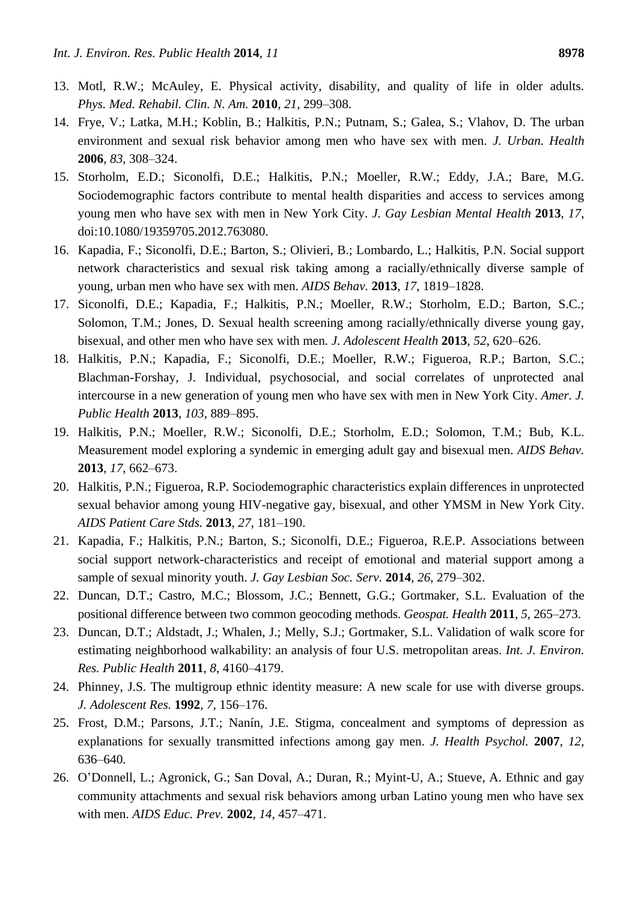- 13. Motl, R.W.; McAuley, E. Physical activity, disability, and quality of life in older adults. *Phys. Med. Rehabil. Clin. N. Am.* **2010**, *21*, 299–308.
- 14. Frye, V.; Latka, M.H.; Koblin, B.; Halkitis, P.N.; Putnam, S.; Galea, S.; Vlahov, D. The urban environment and sexual risk behavior among men who have sex with men. *J. Urban. Health*  **2006**, *83*, 308–324.
- 15. Storholm, E.D.; Siconolfi, D.E.; Halkitis, P.N.; Moeller, R.W.; Eddy, J.A.; Bare, M.G. Sociodemographic factors contribute to mental health disparities and access to services among young men who have sex with men in New York City. *J. Gay Lesbian Mental Health* **2013**, *17*, doi:10.1080/19359705.2012.763080.
- 16. Kapadia, F.; Siconolfi, D.E.; Barton, S.; Olivieri, B.; Lombardo, L.; Halkitis, P.N. Social support network characteristics and sexual risk taking among a racially/ethnically diverse sample of young, urban men who have sex with men. *AIDS Behav.* **2013**, *17*, 1819–1828.
- 17. Siconolfi, D.E.; Kapadia, F.; Halkitis, P.N.; Moeller, R.W.; Storholm, E.D.; Barton, S.C.; Solomon, T.M.; Jones, D. Sexual health screening among racially/ethnically diverse young gay, bisexual, and other men who have sex with men. *J. Adolescent Health* **2013**, *52*, 620–626.
- 18. Halkitis, P.N.; Kapadia, F.; Siconolfi, D.E.; Moeller, R.W.; Figueroa, R.P.; Barton, S.C.; Blachman-Forshay, J. Individual, psychosocial, and social correlates of unprotected anal intercourse in a new generation of young men who have sex with men in New York City. *Amer. J. Public Health* **2013**, *103*, 889–895.
- 19. Halkitis, P.N.; Moeller, R.W.; Siconolfi, D.E.; Storholm, E.D.; Solomon, T.M.; Bub, K.L. Measurement model exploring a syndemic in emerging adult gay and bisexual men. *AIDS Behav.*  **2013**, *17*, 662–673.
- 20. Halkitis, P.N.; Figueroa, R.P. Sociodemographic characteristics explain differences in unprotected sexual behavior among young HIV-negative gay, bisexual, and other YMSM in New York City. *AIDS Patient Care Stds.* **2013**, *27*, 181–190.
- 21. Kapadia, F.; Halkitis, P.N.; Barton, S.; Siconolfi, D.E.; Figueroa, R.E.P. Associations between social support network-characteristics and receipt of emotional and material support among a sample of sexual minority youth. *J. Gay Lesbian Soc. Serv.* **2014**, *26*, 279–302.
- 22. Duncan, D.T.; Castro, M.C.; Blossom, J.C.; Bennett, G.G.; Gortmaker, S.L. Evaluation of the positional difference between two common geocoding methods. *Geospat. Health* **2011**, *5*, 265–273.
- 23. Duncan, D.T.; Aldstadt, J.; Whalen, J.; Melly, S.J.; Gortmaker, S.L. Validation of walk score for estimating neighborhood walkability: an analysis of four U.S. metropolitan areas. *Int. J. Environ. Res. Public Health* **2011**, *8*, 4160–4179.
- 24. Phinney, J.S. The multigroup ethnic identity measure: A new scale for use with diverse groups. *J. Adolescent Res.* **1992**, *7*, 156–176.
- 25. Frost, D.M.; Parsons, J.T.; Nanín, J.E. Stigma, concealment and symptoms of depression as explanations for sexually transmitted infections among gay men. *J. Health Psychol.* **2007**, *12*, 636–640.
- 26. O'Donnell, L.; Agronick, G.; San Doval, A.; Duran, R.; Myint-U, A.; Stueve, A. Ethnic and gay community attachments and sexual risk behaviors among urban Latino young men who have sex with men. *AIDS Educ. Prev.* **2002**, *14*, 457–471.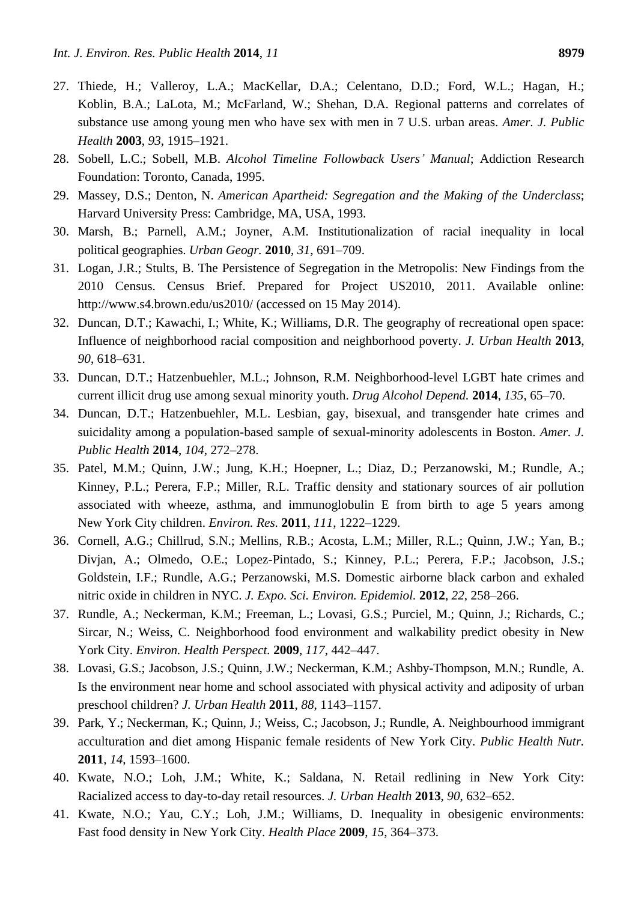- 27. Thiede, H.; Valleroy, L.A.; MacKellar, D.A.; Celentano, D.D.; Ford, W.L.; Hagan, H.; Koblin, B.A.; LaLota, M.; McFarland, W.; Shehan, D.A. Regional patterns and correlates of substance use among young men who have sex with men in 7 U.S. urban areas. *Amer. J. Public Health* **2003**, *93*, 1915–1921.
- 28. Sobell, L.C.; Sobell, M.B. *Alcohol Timeline Followback Users' Manual*; Addiction Research Foundation: Toronto, Canada, 1995.
- 29. Massey, D.S.; Denton, N. *American Apartheid: Segregation and the Making of the Underclass*; Harvard University Press: Cambridge, MA, USA, 1993.
- 30. Marsh, B.; Parnell, A.M.; Joyner, A.M. Institutionalization of racial inequality in local political geographies. *Urban Geogr.* **2010**, *31*, 691–709.
- 31. Logan, J.R.; Stults, B. The Persistence of Segregation in the Metropolis: New Findings from the 2010 Census. Census Brief. Prepared for Project US2010, 2011. Available online: http://www.s4.brown.edu/us2010/ (accessed on 15 May 2014).
- 32. Duncan, D.T.; Kawachi, I.; White, K.; Williams, D.R. The geography of recreational open space: Influence of neighborhood racial composition and neighborhood poverty. *J. Urban Health* **2013**, *90*, 618–631.
- 33. Duncan, D.T.; Hatzenbuehler, M.L.; Johnson, R.M. Neighborhood-level LGBT hate crimes and current illicit drug use among sexual minority youth. *Drug Alcohol Depend.* **2014**, *135*, 65–70.
- 34. Duncan, D.T.; Hatzenbuehler, M.L. Lesbian, gay, bisexual, and transgender hate crimes and suicidality among a population-based sample of sexual-minority adolescents in Boston. *Amer. J. Public Health* **2014**, *104*, 272–278.
- 35. Patel, M.M.; Quinn, J.W.; Jung, K.H.; Hoepner, L.; Diaz, D.; Perzanowski, M.; Rundle, A.; Kinney, P.L.; Perera, F.P.; Miller, R.L. Traffic density and stationary sources of air pollution associated with wheeze, asthma, and immunoglobulin E from birth to age 5 years among New York City children. *Environ. Res.* **2011**, *111*, 1222–1229.
- 36. Cornell, A.G.; Chillrud, S.N.; Mellins, R.B.; Acosta, L.M.; Miller, R.L.; Quinn, J.W.; Yan, B.; Divjan, A.; Olmedo, O.E.; Lopez-Pintado, S.; Kinney, P.L.; Perera, F.P.; Jacobson, J.S.; Goldstein, I.F.; Rundle, A.G.; Perzanowski, M.S. Domestic airborne black carbon and exhaled nitric oxide in children in NYC. *J. Expo. Sci. Environ. Epidemiol.* **2012**, *22*, 258–266.
- 37. Rundle, A.; Neckerman, K.M.; Freeman, L.; Lovasi, G.S.; Purciel, M.; Quinn, J.; Richards, C.; Sircar, N.; Weiss, C. Neighborhood food environment and walkability predict obesity in New York City. *Environ. Health Perspect.* **2009**, *117*, 442–447.
- 38. Lovasi, G.S.; Jacobson, J.S.; Quinn, J.W.; Neckerman, K.M.; Ashby-Thompson, M.N.; Rundle, A. Is the environment near home and school associated with physical activity and adiposity of urban preschool children? *J. Urban Health* **2011**, *88*, 1143–1157.
- 39. Park, Y.; Neckerman, K.; Quinn, J.; Weiss, C.; Jacobson, J.; Rundle, A. Neighbourhood immigrant acculturation and diet among Hispanic female residents of New York City. *Public Health Nutr.*  **2011**, *14*, 1593–1600.
- 40. Kwate, N.O.; Loh, J.M.; White, K.; Saldana, N. Retail redlining in New York City: Racialized access to day-to-day retail resources. *J. Urban Health* **2013**, *90*, 632–652.
- 41. Kwate, N.O.; Yau, C.Y.; Loh, J.M.; Williams, D. Inequality in obesigenic environments: Fast food density in New York City. *Health Place* **2009**, *15*, 364–373.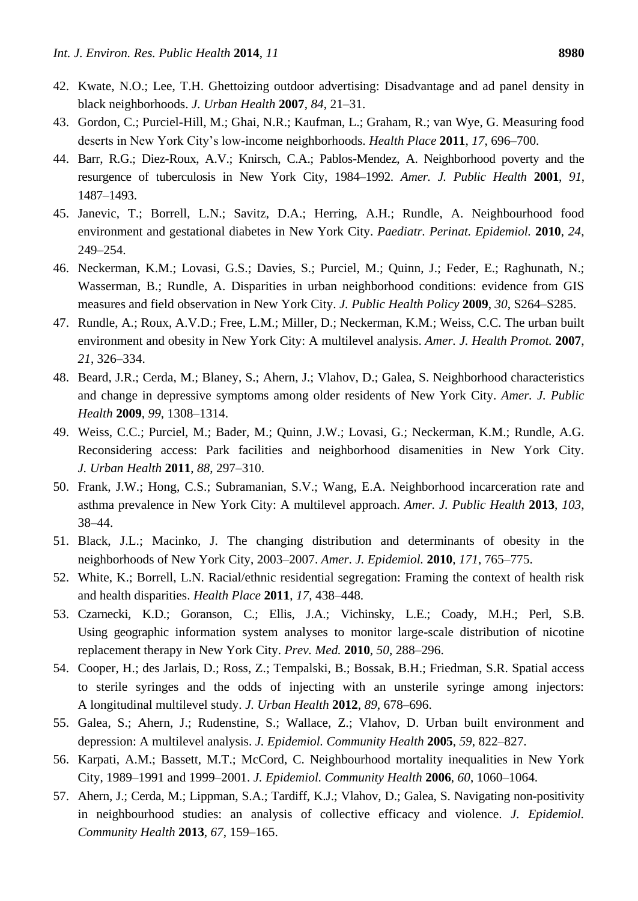- 42. Kwate, N.O.; Lee, T.H. Ghettoizing outdoor advertising: Disadvantage and ad panel density in black neighborhoods. *J. Urban Health* **2007**, *84*, 21–31.
- 43. Gordon, C.; Purciel-Hill, M.; Ghai, N.R.; Kaufman, L.; Graham, R.; van Wye, G. Measuring food deserts in New York City's low-income neighborhoods. *Health Place* **2011**, *17*, 696–700.
- 44. Barr, R.G.; Diez-Roux, A.V.; Knirsch, C.A.; Pablos-Mendez, A. Neighborhood poverty and the resurgence of tuberculosis in New York City, 1984–1992. *Amer. J. Public Health* **2001**, *91*, 1487–1493.
- 45. Janevic, T.; Borrell, L.N.; Savitz, D.A.; Herring, A.H.; Rundle, A. Neighbourhood food environment and gestational diabetes in New York City. *Paediatr. Perinat. Epidemiol.* **2010**, *24*, 249–254.
- 46. Neckerman, K.M.; Lovasi, G.S.; Davies, S.; Purciel, M.; Quinn, J.; Feder, E.; Raghunath, N.; Wasserman, B.; Rundle, A. Disparities in urban neighborhood conditions: evidence from GIS measures and field observation in New York City. *J. Public Health Policy* **2009**, *30*, S264–S285.
- 47. Rundle, A.; Roux, A.V.D.; Free, L.M.; Miller, D.; Neckerman, K.M.; Weiss, C.C. The urban built environment and obesity in New York City: A multilevel analysis. *Amer. J. Health Promot.* **2007**, *21*, 326–334.
- 48. Beard, J.R.; Cerda, M.; Blaney, S.; Ahern, J.; Vlahov, D.; Galea, S. Neighborhood characteristics and change in depressive symptoms among older residents of New York City. *Amer. J. Public Health* **2009**, *99*, 1308–1314.
- 49. Weiss, C.C.; Purciel, M.; Bader, M.; Quinn, J.W.; Lovasi, G.; Neckerman, K.M.; Rundle, A.G. Reconsidering access: Park facilities and neighborhood disamenities in New York City. *J. Urban Health* **2011**, *88*, 297–310.
- 50. Frank, J.W.; Hong, C.S.; Subramanian, S.V.; Wang, E.A. Neighborhood incarceration rate and asthma prevalence in New York City: A multilevel approach. *Amer. J. Public Health* **2013**, *103*, 38–44.
- 51. Black, J.L.; Macinko, J. The changing distribution and determinants of obesity in the neighborhoods of New York City, 2003–2007. *Amer. J. Epidemiol.* **2010**, *171*, 765–775.
- 52. White, K.; Borrell, L.N. Racial/ethnic residential segregation: Framing the context of health risk and health disparities. *Health Place* **2011**, *17*, 438–448.
- 53. Czarnecki, K.D.; Goranson, C.; Ellis, J.A.; Vichinsky, L.E.; Coady, M.H.; Perl, S.B. Using geographic information system analyses to monitor large-scale distribution of nicotine replacement therapy in New York City. *Prev. Med.* **2010**, *50*, 288–296.
- 54. Cooper, H.; des Jarlais, D.; Ross, Z.; Tempalski, B.; Bossak, B.H.; Friedman, S.R. Spatial access to sterile syringes and the odds of injecting with an unsterile syringe among injectors: A longitudinal multilevel study. *J. Urban Health* **2012**, *89*, 678–696.
- 55. Galea, S.; Ahern, J.; Rudenstine, S.; Wallace, Z.; Vlahov, D. Urban built environment and depression: A multilevel analysis. *J. Epidemiol. Community Health* **2005**, *59*, 822–827.
- 56. Karpati, A.M.; Bassett, M.T.; McCord, C. Neighbourhood mortality inequalities in New York City, 1989–1991 and 1999–2001. *J. Epidemiol. Community Health* **2006**, *60*, 1060–1064.
- 57. Ahern, J.; Cerda, M.; Lippman, S.A.; Tardiff, K.J.; Vlahov, D.; Galea, S. Navigating non-positivity in neighbourhood studies: an analysis of collective efficacy and violence. *J. Epidemiol. Community Health* **2013**, *67*, 159–165.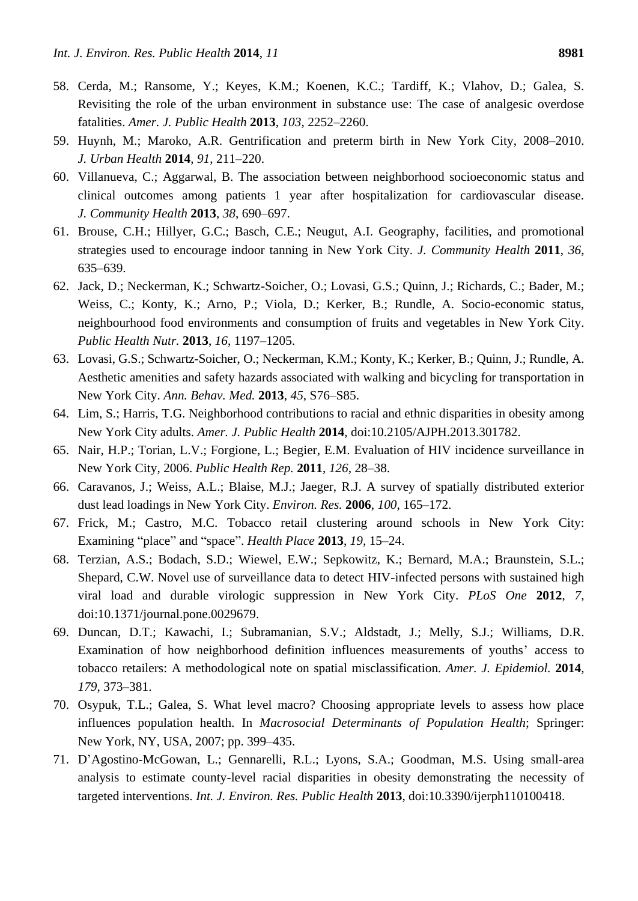- 58. Cerda, M.; Ransome, Y.; Keyes, K.M.; Koenen, K.C.; Tardiff, K.; Vlahov, D.; Galea, S. Revisiting the role of the urban environment in substance use: The case of analgesic overdose fatalities. *Amer. J. Public Health* **2013**, *103*, 2252–2260.
- 59. Huynh, M.; Maroko, A.R. Gentrification and preterm birth in New York City, 2008–2010. *J. Urban Health* **2014**, *91*, 211–220.
- 60. Villanueva, C.; Aggarwal, B. The association between neighborhood socioeconomic status and clinical outcomes among patients 1 year after hospitalization for cardiovascular disease. *J. Community Health* **2013**, *38*, 690–697.
- 61. Brouse, C.H.; Hillyer, G.C.; Basch, C.E.; Neugut, A.I. Geography, facilities, and promotional strategies used to encourage indoor tanning in New York City. *J. Community Health* **2011**, *36*, 635–639.
- 62. Jack, D.; Neckerman, K.; Schwartz-Soicher, O.; Lovasi, G.S.; Quinn, J.; Richards, C.; Bader, M.; Weiss, C.; Konty, K.; Arno, P.; Viola, D.; Kerker, B.; Rundle, A. Socio-economic status, neighbourhood food environments and consumption of fruits and vegetables in New York City. *Public Health Nutr.* **2013**, *16*, 1197–1205.
- 63. Lovasi, G.S.; Schwartz-Soicher, O.; Neckerman, K.M.; Konty, K.; Kerker, B.; Quinn, J.; Rundle, A. Aesthetic amenities and safety hazards associated with walking and bicycling for transportation in New York City. *Ann. Behav. Med.* **2013**, *45*, S76–S85.
- 64. Lim, S.; Harris, T.G. Neighborhood contributions to racial and ethnic disparities in obesity among New York City adults. *Amer. J. Public Health* **2014**, doi:10.2105/AJPH.2013.301782.
- 65. Nair, H.P.; Torian, L.V.; Forgione, L.; Begier, E.M. Evaluation of HIV incidence surveillance in New York City, 2006. *Public Health Rep.* **2011**, *126*, 28–38.
- 66. Caravanos, J.; Weiss, A.L.; Blaise, M.J.; Jaeger, R.J. A survey of spatially distributed exterior dust lead loadings in New York City. *Environ. Res.* **2006**, *100*, 165–172.
- 67. Frick, M.; Castro, M.C. Tobacco retail clustering around schools in New York City: Examining "place" and "space". *Health Place* 2013, 19, 15–24.
- 68. Terzian, A.S.; Bodach, S.D.; Wiewel, E.W.; Sepkowitz, K.; Bernard, M.A.; Braunstein, S.L.; Shepard, C.W. Novel use of surveillance data to detect HIV-infected persons with sustained high viral load and durable virologic suppression in New York City. *PLoS One* **2012**, *7*, doi:10.1371/journal.pone.0029679.
- 69. Duncan, D.T.; Kawachi, I.; Subramanian, S.V.; Aldstadt, J.; Melly, S.J.; Williams, D.R. Examination of how neighborhood definition influences measurements of youths' access to tobacco retailers: A methodological note on spatial misclassification. *Amer. J. Epidemiol.* **2014**, *179*, 373–381.
- 70. Osypuk, T.L.; Galea, S. What level macro? Choosing appropriate levels to assess how place influences population health. In *Macrosocial Determinants of Population Health*; Springer: New York, NY, USA, 2007; pp. 399–435.
- 71. D'Agostino-McGowan, L.; Gennarelli, R.L.; Lyons, S.A.; Goodman, M.S. Using small-area analysis to estimate county-level racial disparities in obesity demonstrating the necessity of targeted interventions. *Int. J. Environ. Res. Public Health* **2013**, doi:10.3390/ijerph110100418.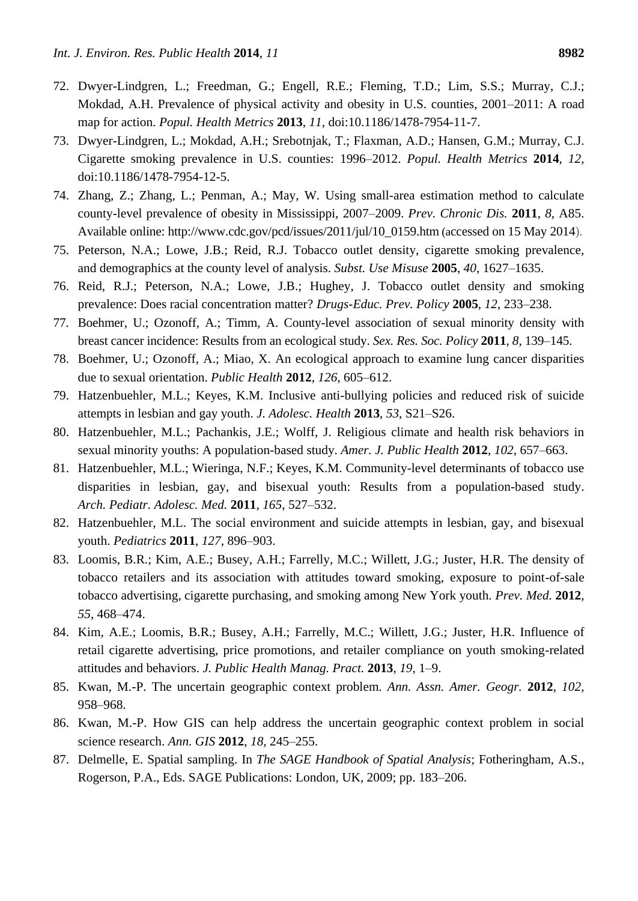- 72. Dwyer-Lindgren, L.; Freedman, G.; Engell, R.E.; Fleming, T.D.; Lim, S.S.; Murray, C.J.; Mokdad, A.H. Prevalence of physical activity and obesity in U.S. counties, 2001–2011: A road map for action. *Popul. Health Metrics* **2013**, *11*, doi:10.1186/1478-7954-11-7.
- 73. Dwyer-Lindgren, L.; Mokdad, A.H.; Srebotnjak, T.; Flaxman, A.D.; Hansen, G.M.; Murray, C.J. Cigarette smoking prevalence in U.S. counties: 1996–2012. *Popul. Health Metrics* **2014**, *12*, doi:10.1186/1478-7954-12-5.
- 74. Zhang, Z.; Zhang, L.; Penman, A.; May, W. Using small-area estimation method to calculate county-level prevalence of obesity in Mississippi, 2007–2009. *Prev. Chronic Dis.* **2011**, *8*, A85. Available online: http://www.cdc.gov/pcd/issues/2011/jul/10\_0159.htm (accessed on 15 May 2014).
- 75. Peterson, N.A.; Lowe, J.B.; Reid, R.J. Tobacco outlet density, cigarette smoking prevalence, and demographics at the county level of analysis. *Subst. Use Misuse* **2005**, *40*, 1627–1635.
- 76. Reid, R.J.; Peterson, N.A.; Lowe, J.B.; Hughey, J. Tobacco outlet density and smoking prevalence: Does racial concentration matter? *Drugs-Educ. Prev. Policy* **2005**, *12*, 233–238.
- 77. Boehmer, U.; Ozonoff, A.; Timm, A. County-level association of sexual minority density with breast cancer incidence: Results from an ecological study. *Sex. Res. Soc. Policy* **2011**, *8*, 139–145.
- 78. Boehmer, U.; Ozonoff, A.; Miao, X. An ecological approach to examine lung cancer disparities due to sexual orientation. *Public Health* **2012**, *126*, 605–612.
- 79. Hatzenbuehler, M.L.; Keyes, K.M. Inclusive anti-bullying policies and reduced risk of suicide attempts in lesbian and gay youth. *J. Adolesc. Health* **2013**, *53*, S21–S26.
- 80. Hatzenbuehler, M.L.; Pachankis, J.E.; Wolff, J. Religious climate and health risk behaviors in sexual minority youths: A population-based study. *Amer. J. Public Health* **2012**, *102*, 657–663.
- 81. Hatzenbuehler, M.L.; Wieringa, N.F.; Keyes, K.M. Community-level determinants of tobacco use disparities in lesbian, gay, and bisexual youth: Results from a population-based study. *Arch. Pediatr. Adolesc. Med.* **2011**, *165*, 527–532.
- 82. Hatzenbuehler, M.L. The social environment and suicide attempts in lesbian, gay, and bisexual youth. *Pediatrics* **2011**, *127*, 896–903.
- 83. Loomis, B.R.; Kim, A.E.; Busey, A.H.; Farrelly, M.C.; Willett, J.G.; Juster, H.R. The density of tobacco retailers and its association with attitudes toward smoking, exposure to point-of-sale tobacco advertising, cigarette purchasing, and smoking among New York youth. *Prev. Med.* **2012**, *55*, 468–474.
- 84. Kim, A.E.; Loomis, B.R.; Busey, A.H.; Farrelly, M.C.; Willett, J.G.; Juster, H.R. Influence of retail cigarette advertising, price promotions, and retailer compliance on youth smoking-related attitudes and behaviors. *J. Public Health Manag. Pract.* **2013**, *19*, 1–9.
- 85. Kwan, M.-P. The uncertain geographic context problem. *Ann. Assn. Amer. Geogr.* **2012**, *102*, 958–968.
- 86. Kwan, M.-P. How GIS can help address the uncertain geographic context problem in social science research. *Ann. GIS* **2012**, *18*, 245–255.
- 87. Delmelle, E. Spatial sampling. In *The SAGE Handbook of Spatial Analysis*; Fotheringham, A.S., Rogerson, P.A., Eds. SAGE Publications: London, UK, 2009; pp. 183–206.